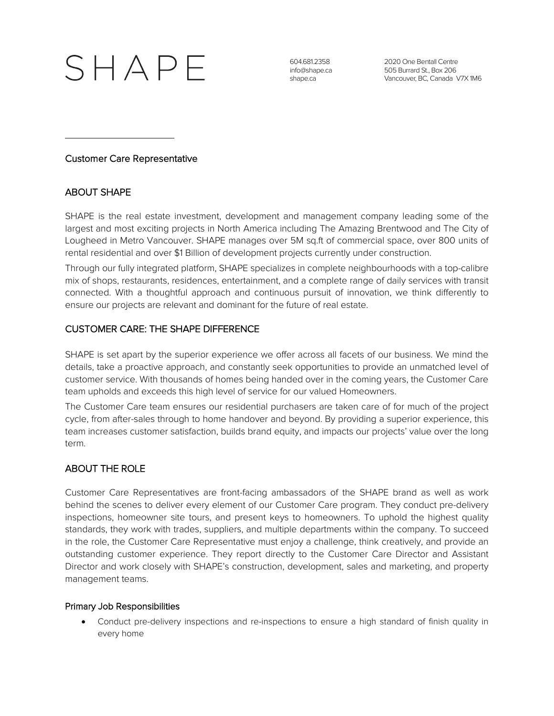

604.681.2358 info@shape.ca shape.ca

2020 One Bentall Centre 505 Burrard St., Box 206 Vancouver, BC, Canada V7X 1M6

### Customer Care Representative

# ABOUT SHAPE

SHAPE is the real estate investment, development and management company leading some of the largest and most exciting projects in North America including The Amazing Brentwood and The City of Lougheed in Metro Vancouver. SHAPE manages over 5M sq.ft of commercial space, over 800 units of rental residential and over \$1 Billion of development projects currently under construction.

Through our fully integrated platform, SHAPE specializes in complete neighbourhoods with a top-calibre mix of shops, restaurants, residences, entertainment, and a complete range of daily services with transit connected. With a thoughtful approach and continuous pursuit of innovation, we think differently to ensure our projects are relevant and dominant for the future of real estate.

### CUSTOMER CARE: THE SHAPE DIFFERENCE

SHAPE is set apart by the superior experience we offer across all facets of our business. We mind the details, take a proactive approach, and constantly seek opportunities to provide an unmatched level of customer service. With thousands of homes being handed over in the coming years, the Customer Care team upholds and exceeds this high level of service for our valued Homeowners.

The Customer Care team ensures our residential purchasers are taken care of for much of the project cycle, from after-sales through to home handover and beyond. By providing a superior experience, this team increases customer satisfaction, builds brand equity, and impacts our projects' value over the long term.

# ABOUT THE ROLE

Customer Care Representatives are front-facing ambassadors of the SHAPE brand as well as work behind the scenes to deliver every element of our Customer Care program. They conduct pre-delivery inspections, homeowner site tours, and present keys to homeowners. To uphold the highest quality standards, they work with trades, suppliers, and multiple departments within the company. To succeed in the role, the Customer Care Representative must enjoy a challenge, think creatively, and provide an outstanding customer experience. They report directly to the Customer Care Director and Assistant Director and work closely with SHAPE's construction, development, sales and marketing, and property management teams.

#### Primary Job Responsibilities

Conduct pre-delivery inspections and re-inspections to ensure a high standard of finish quality in every home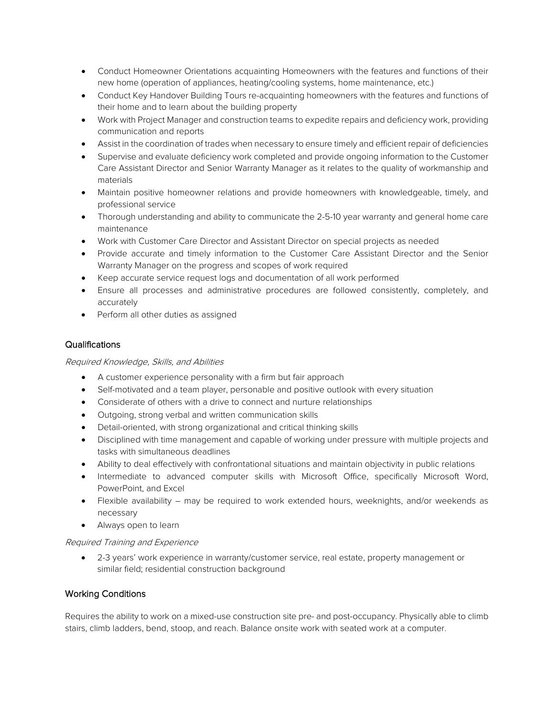- Conduct Homeowner Orientations acquainting Homeowners with the features and functions of their new home (operation of appliances, heating/cooling systems, home maintenance, etc.)
- Conduct Key Handover Building Tours re-acquainting homeowners with the features and functions of their home and to learn about the building property
- Work with Project Manager and construction teams to expedite repairs and deficiency work, providing communication and reports
- Assist in the coordination of trades when necessary to ensure timely and efficient repair of deficiencies
- Supervise and evaluate deficiency work completed and provide ongoing information to the Customer Care Assistant Director and Senior Warranty Manager as it relates to the quality of workmanship and materials
- Maintain positive homeowner relations and provide homeowners with knowledgeable, timely, and professional service
- Thorough understanding and ability to communicate the 2-5-10 year warranty and general home care maintenance
- Work with Customer Care Director and Assistant Director on special projects as needed
- Provide accurate and timely information to the Customer Care Assistant Director and the Senior Warranty Manager on the progress and scopes of work required
- Keep accurate service request logs and documentation of all work performed
- Ensure all processes and administrative procedures are followed consistently, completely, and accurately
- Perform all other duties as assigned

#### Qualifications

#### Required Knowledge, Skills, and Abilities

- A customer experience personality with a firm but fair approach
- Self-motivated and a team player, personable and positive outlook with every situation
- Considerate of others with a drive to connect and nurture relationships
- Outgoing, strong verbal and written communication skills
- Detail-oriented, with strong organizational and critical thinking skills
- Disciplined with time management and capable of working under pressure with multiple projects and tasks with simultaneous deadlines
- Ability to deal effectively with confrontational situations and maintain objectivity in public relations
- Intermediate to advanced computer skills with Microsoft Office, specifically Microsoft Word, PowerPoint, and Excel
- Flexible availability may be required to work extended hours, weeknights, and/or weekends as necessary
- Always open to learn

#### Required Training and Experience

• 2-3 years' work experience in warranty/customer service, real estate, property management or similar field; residential construction background

#### Working Conditions

Requires the ability to work on a mixed-use construction site pre- and post-occupancy. Physically able to climb stairs, climb ladders, bend, stoop, and reach. Balance onsite work with seated work at a computer.